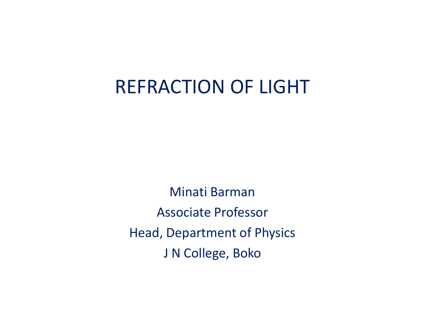## REFRACTION OF LIGHT

Minati Barman Associate Professor Head, Department of Physics J N College, Boko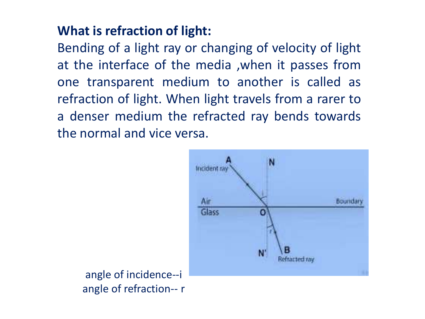## **What is refraction of light:**

Bending of a light ray or changing of velocity of light at the interface of the media ,when it passes from one transparent medium to another is called as refraction of light. When light travels from a rarer to a denser medium the refracted ray bends towards the normal and vice versa.



angle of incidence--i angle of refraction-- r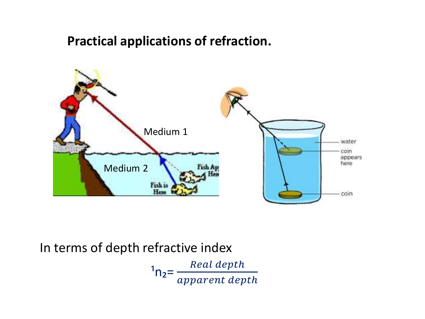#### **Practical applications of refraction.**



#### In terms of depth refractive index

 $n_1$ <sub>n<sub>2</sub>= $\frac{Real\ depth}{am^2}$ </sub> apparent depth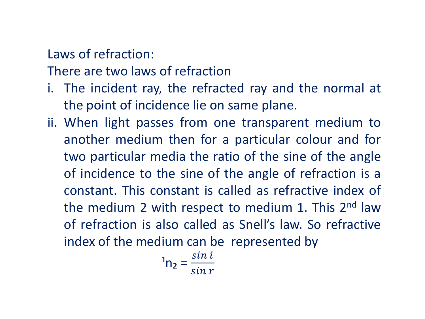## Laws of refraction:

There are two laws of refraction

- i. The incident ray, the refracted ray and the normal at the point of incidence lie on same plane.
- ii. When light passes from one transparent medium to another medium then for a particular colour and for two particular media the ratio of the sine of the angle of incidence to the sine of the angle of refraction is a constant. This constant is called as refractive index of the medium 2 with respect to medium 1. This 2<sup>nd</sup> law of refraction is also called as Snell's law. So refractive index of the medium can be represented by

$$
{}^{1}n_{2} = \frac{\sin i}{\sin r}
$$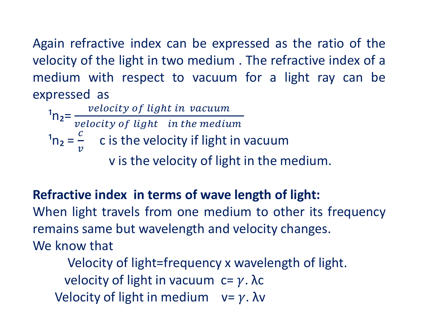Again refractive index can be expressed as the ratio of the velocity of the light in two medium . The refractive index of a medium with respect to vacuum for a light ray can be expressed as

 $n_{\rm 2} = \frac{velocity \ of \ light \ in \ vacuum}{velocity \ of \ light \ in \ the \ medium}$ velocity of light in the medium  $n_2 =$  $\mathcal{C}_{0}$  $\boldsymbol{\mathcal{V}}$ c is the velocity if light in vacuum v is the velocity of light in the medium.

## **Refractive index in terms of wave length of light:**

When light travels from one medium to other its frequency remains same but wavelength and velocity changes. We know that

Velocity of light=frequency x wavelength of light. velocity of light in vacuum  $c = \gamma$ . λc Velocity of light in medium  $v = \gamma$ . λv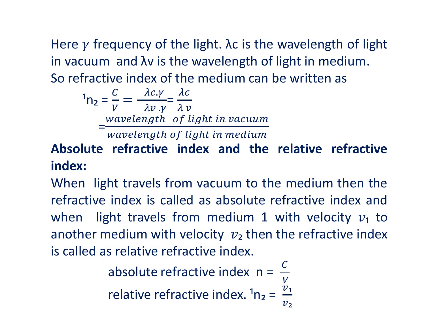Here  $\gamma$  frequency of the light. Ac is the wavelength of light in vacuum and λv is the wavelength of light in medium. So refractive index of the medium can be written as

$$
{}^{1}n_{2} = \frac{C}{V} = \frac{\lambda c.\gamma}{\lambda v.\gamma} = \frac{\lambda c}{\lambda v}
$$
  
=
$$
\frac{wavelength \ of \ light \ in \ vacuum}{wavelength \ of \ light \ in \ medium}
$$

## **Absolute refractive index and the relative refractive index:**

When light travels from vacuum to the medium then the refractive index is called as absolute refractive index and when light travels from medium 1 with velocity  $v_1$  to another medium with velocity  $v_2$  then the refractive index is called as relative refractive index.

> absolute refractive index n =  $\mathcal{C}_{0}^{(n)}$ V

relative refractive index.  $n_2 =$  $\dot{\mathit{v}}_{\text{\tiny{1}}}$  $v_{2}$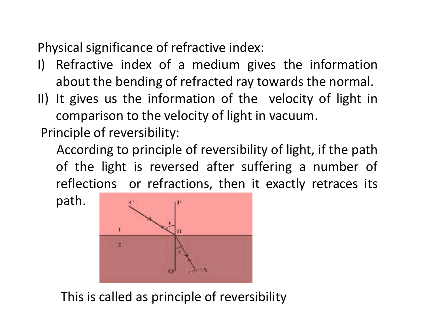Physical significance of refractive index:

- I) Refractive index of a medium gives the information about the bending of refracted ray towards the normal.
- II) It gives us the information of the velocity of light in comparison to the velocity of light in vacuum.

Principle of reversibility:

According to principle of reversibility of light, if the path of the light is reversed after suffering a number of reflections or refractions, then it exactly retraces its

path.



## This is called as principle of reversibility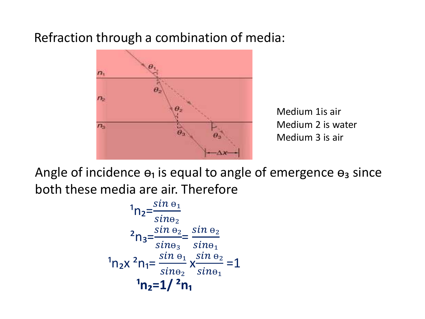## Refraction through a combination of media:



Medium 1 is air Medium 2 is water Medium 3 is air

Angle of incidence  $\Theta_1$  is equal to angle of emergence  $\Theta_3$  since both these media are air. Therefore

$$
{}^{1}n_{2} = \frac{\sin \theta_{1}}{\sin \theta_{2}}
$$
\n
$$
{}^{2}n_{3} = \frac{\sin \theta_{2}}{\sin \theta_{3}} = \frac{\sin \theta_{2}}{\sin \theta_{1}}
$$
\n
$$
{}^{1}n_{2}x {}^{2}n_{1} = \frac{\sin \theta_{1}}{\sin \theta_{2}} \times \frac{\sin \theta_{2}}{\sin \theta_{1}} = 1
$$
\n
$$
{}^{1}n_{2} = 1/{}^{2}n_{1}
$$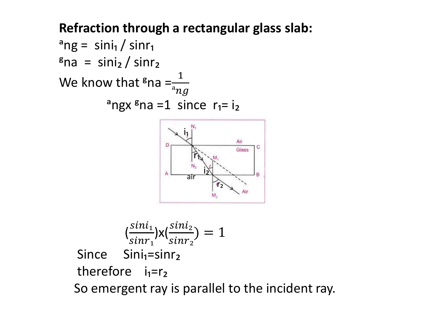## **Refraction through a rectangular glass slab:**



$$
\left(\frac{\sin i_1}{\sin r_1}\right) \times \left(\frac{\sin i_2}{\sin r_2}\right) = 1
$$
\nSince  $\sin i_1 = \sin r_2$   
\ntherefore  $i_1 = r_2$   
\nSo emergent ray is parallel to the incident ray.